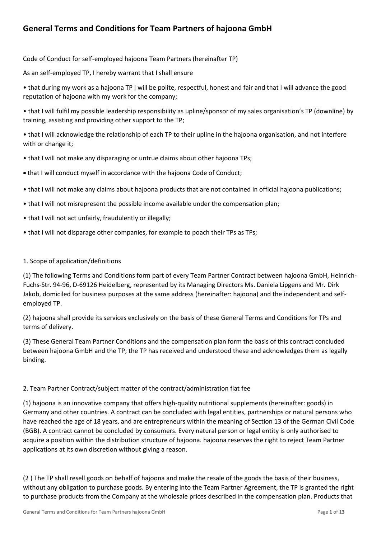# **General Terms and Conditions for Team Partners of hajoona GmbH**

Code of Conduct for self-employed hajoona Team Partners (hereinafter TP)

As an self-employed TP, I hereby warrant that I shall ensure

• that during my work as a hajoona TP I will be polite, respectful, honest and fair and that I will advance the good reputation of hajoona with my work for the company;

• that I will fulfil my possible leadership responsibility as upline/sponsor of my sales organisation's TP (downline) by training, assisting and providing other support to the TP;

• that I will acknowledge the relationship of each TP to their upline in the hajoona organisation, and not interfere with or change it;

- that I will not make any disparaging or untrue claims about other hajoona TPs;
- that I will conduct myself in accordance with the hajoona [Code of Conduct;](http://dev.hajoona.com/de/component/phocadownload/category/1-downloads?download=9:hajoona-verhatlenskodex-eng)
- that I will not make any claims about hajoona products that are not contained in official hajoona publications;
- that I will not misrepresent the possible income available under the compensation plan;
- that I will not act unfairly, fraudulently or illegally;
- that I will not disparage other companies, for example to poach their TPs as TPs;

#### 1. Scope of application/definitions

(1) The following Terms and Conditions form part of every Team Partner Contract between hajoona GmbH, Heinrich-Fuchs-Str. 94-96, D-69126 Heidelberg, represented by its Managing Directors Ms. Daniela Lipgens and Mr. Dirk Jakob, domiciled for business purposes at the same address (hereinafter: hajoona) and the independent and selfemployed TP.

(2) hajoona shall provide its services exclusively on the basis of these General Terms and Conditions for TPs and terms of delivery.

(3) These General Team Partner Conditions and the compensation plan form the basis of this contract concluded between hajoona GmbH and the TP; the TP has received and understood these and acknowledges them as legally binding.

#### 2. Team Partner Contract/subject matter of the contract/administration flat fee

(1) hajoona is an innovative company that offers high-quality nutritional supplements (hereinafter: goods) in Germany and other countries. A contract can be concluded with legal entities, partnerships or natural persons who have reached the age of 18 years, and are entrepreneurs within the meaning of Section 13 of the German Civil Code (BGB). A contract cannot be concluded by consumers. Every natural person or legal entity is only authorised to acquire a position within the distribution structure of hajoona. hajoona reserves the right to reject Team Partner applications at its own discretion without giving a reason.

(2 ) The TP shall resell goods on behalf of hajoona and make the resale of the goods the basis of their business, without any obligation to purchase goods. By entering into the Team Partner Agreement, the TP is granted the right to purchase products from the Company at the wholesale prices described in the compensation plan. Products that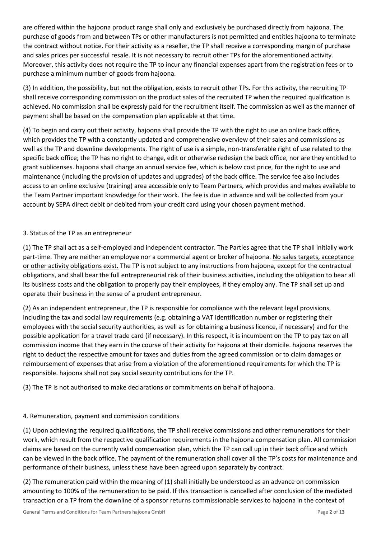are offered within the hajoona product range shall only and exclusively be purchased directly from hajoona. The purchase of goods from and between TPs or other manufacturers is not permitted and entitles hajoona to terminate the contract without notice. For their activity as a reseller, the TP shall receive a corresponding margin of purchase and sales prices per successful resale. It is not necessary to recruit other TPs for the aforementioned activity. Moreover, this activity does not require the TP to incur any financial expenses apart from the registration fees or to purchase a minimum number of goods from hajoona.

(3) In addition, the possibility, but not the obligation, exists to recruit other TPs. For this activity, the recruiting TP shall receive corresponding commission on the product sales of the recruited TP when the required qualification is achieved. No commission shall be expressly paid for the recruitment itself. The commission as well as the manner of payment shall be based on the compensation plan applicable at that time.

(4) To begin and carry out their activity, hajoona shall provide the TP with the right to use an online back office, which provides the TP with a constantly updated and comprehensive overview of their sales and commissions as well as the TP and downline developments. The right of use is a simple, non-transferable right of use related to the specific back office; the TP has no right to change, edit or otherwise redesign the back office, nor are they entitled to grant sublicenses. hajoona shall charge an annual service fee, which is below cost price, for the right to use and maintenance (including the provision of updates and upgrades) of the back office. The service fee also includes access to an online exclusive (training) area accessible only to Team Partners, which provides and makes available to the Team Partner important knowledge for their work. The fee is due in advance and will be collected from your account by SEPA direct debit or debited from your credit card using your chosen payment method.

## 3. Status of the TP as an entrepreneur

(1) The TP shall act as a self-employed and independent contractor. The Parties agree that the TP shall initially work part-time. They are neither an employee nor a commercial agent or broker of hajoona. No sales targets, acceptance or other activity obligations exist. The TP is not subject to any instructions from hajoona, except for the contractual obligations, and shall bear the full entrepreneurial risk of their business activities, including the obligation to bear all its business costs and the obligation to properly pay their employees, if they employ any. The TP shall set up and operate their business in the sense of a prudent entrepreneur.

(2) As an independent entrepreneur, the TP is responsible for compliance with the relevant legal provisions, including the tax and social law requirements (e.g. obtaining a VAT identification number or registering their employees with the social security authorities, as well as for obtaining a business licence, if necessary) and for the possible application for a travel trade card (if necessary). In this respect, it is incumbent on the TP to pay tax on all commission income that they earn in the course of their activity for hajoona at their domicile. hajoona reserves the right to deduct the respective amount for taxes and duties from the agreed commission or to claim damages or reimbursement of expenses that arise from a violation of the aforementioned requirements for which the TP is responsible. hajoona shall not pay social security contributions for the TP.

(3) The TP is not authorised to make declarations or commitments on behalf of hajoona.

## 4. Remuneration, payment and commission conditions

(1) Upon achieving the required qualifications, the TP shall receive commissions and other remunerations for their work, which result from the respective qualification requirements in the hajoona compensation plan. All commission claims are based on the currently valid compensation plan, which the TP can call up in their back office and which can be viewed in the back office. The payment of the remuneration shall cover all the TP's costs for maintenance and performance of their business, unless these have been agreed upon separately by contract.

(2) The remuneration paid within the meaning of (1) shall initially be understood as an advance on commission amounting to 100% of the remuneration to be paid. If this transaction is cancelled after conclusion of the mediated transaction or a TP from the downline of a sponsor returns commissionable services to hajoona in the context of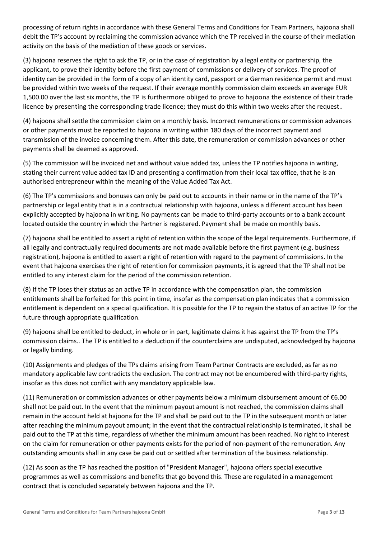processing of return rights in accordance with these General Terms and Conditions for Team Partners, hajoona shall debit the TP's account by reclaiming the commission advance which the TP received in the course of their mediation activity on the basis of the mediation of these goods or services.

(3) hajoona reserves the right to ask the TP, or in the case of registration by a legal entity or partnership, the applicant, to prove their identity before the first payment of commissions or delivery of services. The proof of identity can be provided in the form of a copy of an identity card, passport or a German residence permit and must be provided within two weeks of the request. If their average monthly commission claim exceeds an average EUR 1,500.00 over the last six months, the TP is furthermore obliged to prove to hajoona the existence of their trade licence by presenting the corresponding trade licence; they must do this within two weeks after the request..

(4) hajoona shall settle the commission claim on a monthly basis. Incorrect remunerations or commission advances or other payments must be reported to hajoona in writing within 180 days of the incorrect payment and transmission of the invoice concerning them. After this date, the remuneration or commission advances or other payments shall be deemed as approved.

(5) The commission will be invoiced net and without value added tax, unless the TP notifies hajoona in writing, stating their current value added tax ID and presenting a confirmation from their local tax office, that he is an authorised entrepreneur within the meaning of the Value Added Tax Act.

(6) The TP's commissions and bonuses can only be paid out to accounts in their name or in the name of the TP's partnership or legal entity that is in a contractual relationship with hajoona, unless a different account has been explicitly accepted by hajoona in writing. No payments can be made to third-party accounts or to a bank account located outside the country in which the Partner is registered. Payment shall be made on monthly basis.

(7) hajoona shall be entitled to assert a right of retention within the scope of the legal requirements. Furthermore, if all legally and contractually required documents are not made available before the first payment (e.g. business registration), hajoona is entitled to assert a right of retention with regard to the payment of commissions. In the event that hajoona exercises the right of retention for commission payments, it is agreed that the TP shall not be entitled to any interest claim for the period of the commission retention.

(8) If the TP loses their status as an active TP in accordance with the compensation plan, the commission entitlements shall be forfeited for this point in time, insofar as the compensation plan indicates that a commission entitlement is dependent on a special qualification. It is possible for the TP to regain the status of an active TP for the future through appropriate qualification.

(9) hajoona shall be entitled to deduct, in whole or in part, legitimate claims it has against the TP from the TP's commission claims.. The TP is entitled to a deduction if the counterclaims are undisputed, acknowledged by hajoona or legally binding.

(10) Assignments and pledges of the TPs claims arising from Team Partner Contracts are excluded, as far as no mandatory applicable law contradicts the exclusion. The contract may not be encumbered with third-party rights, insofar as this does not conflict with any mandatory applicable law.

(11) Remuneration or commission advances or other payments below a minimum disbursement amount of €6.00 shall not be paid out. In the event that the minimum payout amount is not reached, the commission claims shall remain in the account held at hajoona for the TP and shall be paid out to the TP in the subsequent month or later after reaching the minimum payout amount; in the event that the contractual relationship is terminated, it shall be paid out to the TP at this time, regardless of whether the minimum amount has been reached. No right to interest on the claim for remuneration or other payments exists for the period of non-payment of the remuneration. Any outstanding amounts shall in any case be paid out or settled after termination of the business relationship.

(12) As soon as the TP has reached the position of "President Manager", hajoona offers special executive programmes as well as commissions and benefits that go beyond this. These are regulated in a management contract that is concluded separately between hajoona and the TP.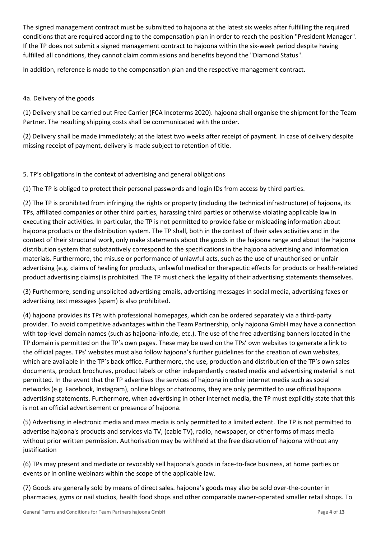The signed management contract must be submitted to hajoona at the latest six weeks after fulfilling the required conditions that are required according to the compensation plan in order to reach the position "President Manager". If the TP does not submit a signed management contract to hajoona within the six-week period despite having fulfilled all conditions, they cannot claim commissions and benefits beyond the "Diamond Status".

In addition, reference is made to the compensation plan and the respective management contract.

# 4a. Delivery of the goods

(1) Delivery shall be carried out Free Carrier (FCA Incoterms 2020). hajoona shall organise the shipment for the Team Partner. The resulting shipping costs shall be communicated with the order.

(2) Delivery shall be made immediately; at the latest two weeks after receipt of payment. In case of delivery despite missing receipt of payment, delivery is made subject to retention of title.

5. TP's obligations in the context of advertising and general obligations

(1) The TP is obliged to protect their personal passwords and login IDs from access by third parties.

(2) The TP is prohibited from infringing the rights or property (including the technical infrastructure) of hajoona, its TPs, affiliated companies or other third parties, harassing third parties or otherwise violating applicable law in executing their activities. In particular, the TP is not permitted to provide false or misleading information about hajoona products or the distribution system. The TP shall, both in the context of their sales activities and in the context of their structural work, only make statements about the goods in the hajoona range and about the hajoona distribution system that substantively correspond to the specifications in the hajoona advertising and information materials. Furthermore, the misuse or performance of unlawful acts, such as the use of unauthorised or unfair advertising (e.g. claims of healing for products, unlawful medical or therapeutic effects for products or health-related product advertising claims) is prohibited. The TP must check the legality of their advertising statements themselves.

(3) Furthermore, sending unsolicited advertising emails, advertising messages in social media, advertising faxes or advertising text messages (spam) is also prohibited.

(4) hajoona provides its TPs with professional homepages, which can be ordered separately via a third-party provider. To avoid competitive advantages within the Team Partnership, only hajoona GmbH may have a connection with top-level domain names (such as hajoona-info.de, etc.). The use of the free advertising banners located in the TP domain is permitted on the TP's own pages. These may be used on the TPs' own websites to generate a link to the official pages. TPs' websites must also follow hajoona's further guidelines for the creation of own websites, which are available in the TP's back office. Furthermore, the use, production and distribution of the TP's own sales documents, product brochures, product labels or other independently created media and advertising material is not permitted. In the event that the TP advertises the services of hajoona in other internet media such as social networks (e.g. Facebook, Instagram), online blogs or chatrooms, they are only permitted to use official hajoona advertising statements. Furthermore, when advertising in other internet media, the TP must explicitly state that this is not an official advertisement or presence of hajoona.

(5) Advertising in electronic media and mass media is only permitted to a limited extent. The TP is not permitted to advertise hajoona's products and services via TV, (cable TV), radio, newspaper, or other forms of mass media without prior written permission. Authorisation may be withheld at the free discretion of hajoona without any justification

(6) TPs may present and mediate or revocably sell hajoona's goods in face-to-face business, at home parties or events or in online webinars within the scope of the applicable law.

(7) Goods are generally sold by means of direct sales. hajoona's goods may also be sold over-the-counter in pharmacies, gyms or nail studios, health food shops and other comparable owner-operated smaller retail shops. To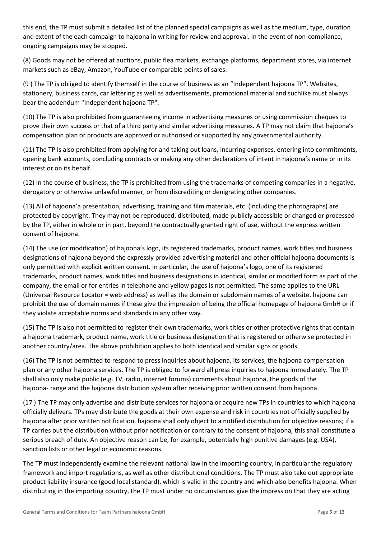this end, the TP must submit a detailed list of the planned special campaigns as well as the medium, type, duration and extent of the each campaign to hajoona in writing for review and approval. In the event of non-compliance, ongoing campaigns may be stopped.

(8) Goods may not be offered at auctions, public flea markets, exchange platforms, department stores, via internet markets such as eBay, Amazon, YouTube or comparable points of sales.

(9 ) The TP is obliged to identify themself in the course of business as an "Independent hajoona TP". Websites, stationery, business cards, car lettering as well as advertisements, promotional material and suchlike must always bear the addendum "Independent hajoona TP".

(10) The TP is also prohibited from guaranteeing income in advertising measures or using commission cheques to prove their own success or that of a third party and similar advertising measures. A TP may not claim that hajoona's compensation plan or products are approved or authorised or supported by any governmental authority.

(11) The TP is also prohibited from applying for and taking out loans, incurring expenses, entering into commitments, opening bank accounts, concluding contracts or making any other declarations of intent in hajoona's name or in its interest or on its behalf.

(12) In the course of business, the TP is prohibited from using the trademarks of competing companies in a negative, derogatory or otherwise unlawful manner, or from discrediting or denigrating other companies.

(13) All of hajoona'a presentation, advertising, training and film materials, etc. (including the photographs) are protected by copyright. They may not be reproduced, distributed, made publicly accessible or changed or processed by the TP, either in whole or in part, beyond the contractually granted right of use, without the express written consent of hajoona.

(14) The use (or modification) of hajoona's logo, its registered trademarks, product names, work titles and business designations of hajoona beyond the expressly provided advertising material and other official hajoona documents is only permitted with explicit written consent. In particular, the use of hajoona's logo, one of its registered trademarks, product names, work titles and business designations in identical, similar or modified form as part of the company, the email or for entries in telephone and yellow pages is not permitted. The same applies to the URL (Universal Resource Locator = web address) as well as the domain or subdomain names of a website. hajoona can prohibit the use of domain names if these give the impression of being the official homepage of hajoona GmbH or if they violate acceptable norms and standards in any other way.

(15) The TP is also not permitted to register their own trademarks, work titles or other protective rights that contain a hajoona trademark, product name, work title or business designation that is registered or otherwise protected in another country/area. The above prohibition applies to both identical and similar signs or goods.

(16) The TP is not permitted to respond to press inquiries about hajoona, its services, the hajoona compensation plan or any other hajoona services. The TP is obliged to forward all press inquiries to hajoona immediately. The TP shall also only make public (e.g. TV, radio, internet forums) comments about hajoona, the goods of the hajoona- range and the hajoona distribution system after receiving prior written consent from hajoona.

(17 ) The TP may only advertise and distribute services for hajoona or acquire new TPs in countries to which hajoona officially delivers. TPs may distribute the goods at their own expense and risk in countries not officially supplied by hajoona after prior written notification. hajoona shall only object to a notified distribution for objective reasons; if a TP carries out the distribution without prior notification or contrary to the consent of hajoona, this shall constitute a serious breach of duty. An objective reason can be, for example, potentially high punitive damages (e.g. USA), sanction lists or other legal or economic reasons.

The TP must independently examine the relevant national law in the importing country, in particular the regulatory framework and import regulations, as well as other distributional conditions. The TP must also take out appropriate product liability insurance (good local standard), which is valid in the country and which also benefits hajoona. When distributing in the importing country, the TP must under no circumstances give the impression that they are acting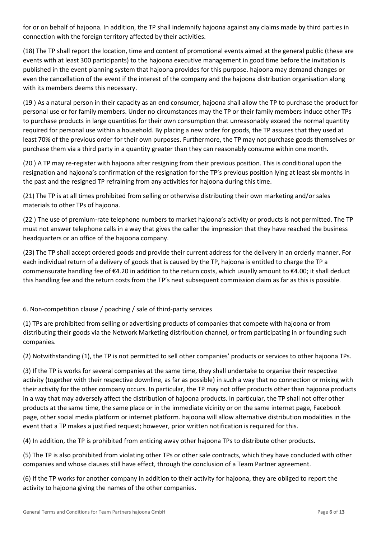for or on behalf of hajoona. In addition, the TP shall indemnify hajoona against any claims made by third parties in connection with the foreign territory affected by their activities.

(18) The TP shall report the location, time and content of promotional events aimed at the general public (these are events with at least 300 participants) to the hajoona executive management in good time before the invitation is published in the event planning system that hajoona provides for this purpose. hajoona may demand changes or even the cancellation of the event if the interest of the company and the hajoona distribution organisation along with its members deems this necessary.

(19 ) As a natural person in their capacity as an end consumer, hajoona shall allow the TP to purchase the product for personal use or for family members. Under no circumstances may the TP or their family members induce other TPs to purchase products in large quantities for their own consumption that unreasonably exceed the normal quantity required for personal use within a household. By placing a new order for goods, the TP assures that they used at least 70% of the previous order for their own purposes. Furthermore, the TP may not purchase goods themselves or purchase them via a third party in a quantity greater than they can reasonably consume within one month.

(20 ) A TP may re-register with hajoona after resigning from their previous position. This is conditional upon the resignation and hajoona's confirmation of the resignation for the TP's previous position lying at least six months in the past and the resigned TP refraining from any activities for hajoona during this time.

(21) The TP is at all times prohibited from selling or otherwise distributing their own marketing and/or sales materials to other TPs of hajoona.

(22 ) The use of premium-rate telephone numbers to market hajoona's activity or products is not permitted. The TP must not answer telephone calls in a way that gives the caller the impression that they have reached the business headquarters or an office of the hajoona company.

(23) The TP shall accept ordered goods and provide their current address for the delivery in an orderly manner. For each individual return of a delivery of goods that is caused by the TP, hajoona is entitled to charge the TP a commensurate handling fee of €4.20 in addition to the return costs, which usually amount to €4.00; it shall deduct this handling fee and the return costs from the TP's next subsequent commission claim as far as this is possible.

## 6. Non-competition clause / poaching / sale of third-party services

(1) TPs are prohibited from selling or advertising products of companies that compete with hajoona or from distributing their goods via the Network Marketing distribution channel, or from participating in or founding such companies.

(2) Notwithstanding (1), the TP is not permitted to sell other companies' products or services to other hajoona TPs.

(3) If the TP is works for several companies at the same time, they shall undertake to organise their respective activity (together with their respective downline, as far as possible) in such a way that no connection or mixing with their activity for the other company occurs. In particular, the TP may not offer products other than hajoona products in a way that may adversely affect the distribution of hajoona products. In particular, the TP shall not offer other products at the same time, the same place or in the immediate vicinity or on the same internet page, Facebook page, other social media platform or internet platform. hajoona will allow alternative distribution modalities in the event that a TP makes a justified request; however, prior written notification is required for this.

(4) In addition, the TP is prohibited from enticing away other hajoona TPs to distribute other products.

(5) The TP is also prohibited from violating other TPs or other sale contracts, which they have concluded with other companies and whose clauses still have effect, through the conclusion of a Team Partner agreement.

(6) If the TP works for another company in addition to their activity for hajoona, they are obliged to report the activity to hajoona giving the names of the other companies.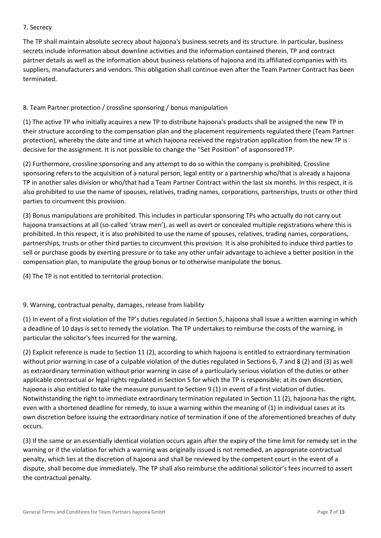#### 7. Secrecy

The TP shall maintain absolute secrecy about hajoona's business secrets and its structure. In particular, business secrets include information about downline activities and the information contained therein, TP and contract partner details as well as the information about business relations of hajoona and its affiliated companies with its suppliers, manufacturers and vendors. This obligation shall continue even after the Team Partner Contract has been terminated.

## 8. Team Partner protection / crossline sponsoring / bonus manipulation

(1) The active TP who initially acquires a new TP to distribute hajoona's products shall be assigned the new TP in their structure according to the compensation plan and the placement requirements regulated there (Team Partner protection), whereby the date and time at which hajoona received the registration application from the new TP is decisive for the assignment. It is not possible to change the "Set Position" of asponsoredTP.

(2) Furthermore, crossline sponsoring and any attempt to do so within the company is prohibited. Crossline sponsoring refers to the acquisition of a natural person, legal entity or a partnership who/that is already a hajoona TP in another sales division or who/that had a Team Partner Contract within the last six months. In this respect, it is also prohibited to use the name of spouses, relatives, trading names, corporations, partnerships, trusts or other third parties to circumvent this provision.

(3) Bonus manipulations are prohibited. This includes in particular sponsoring TPs who actually do not carry out hajoona transactions at all (so-called 'straw men'), as well as overt or concealed multiple registrations where this is prohibited. In this respect, it is also prohibited to use the name of spouses, relatives, trading names, corporations, partnerships, trusts or other third parties to circumvent this provision. It is also prohibited to induce third parties to sell or purchase goods by exerting pressure or to take any other unfair advantage to achieve a better position in the compensation plan, to manipulate the group bonus or to otherwise manipulate the bonus.

(4) The TP is not entitled to territorial protection.

## 9. Warning, contractual penalty, damages, release from liability

(1) In event of a first violation of the TP's duties regulated in Section 5, hajoona shall issue a written warning in which a deadline of 10 days is set to remedy the violation. The TP undertakes to reimburse the costs of the warning, in particular the solicitor's fees incurred for the warning.

(2) Explicit reference is made to Section 11 (2), according to which hajoona is entitled to extraordinary termination without prior warning in case of a culpable violation of the duties regulated in Sections 6, 7 and 8 (2) and (3) as well as extraordinary termination without prior warning in case of a particularly serious violation of the duties or other applicable contractual or legal rights regulated in Section 5 for which the TP is responsible; at its own discretion, hajoona is also entitled to take the measure pursuant to Section 9 (1) in event of a first violation of duties. Notwithstanding the right to immediate extraordinary termination regulated in Section 11 (2), hajoona has the right, even with a shortened deadline for remedy, to issue a warning within the meaning of (1) in individual cases at its own discretion before issuing the extraordinary notice of termination if one of the aforementioned breaches of duty occurs.

(3) If the same or an essentially identical violation occurs again after the expiry of the time limit for remedy set in the warning or if the violation for which a warning was originally issued is not remedied, an appropriate contractual penalty, which lies at the discretion of hajoona and shall be reviewed by the competent court in the event of a dispute, shall become due immediately. The TP shall also reimburse the additional solicitor's fees incurred to assert the contractual penalty.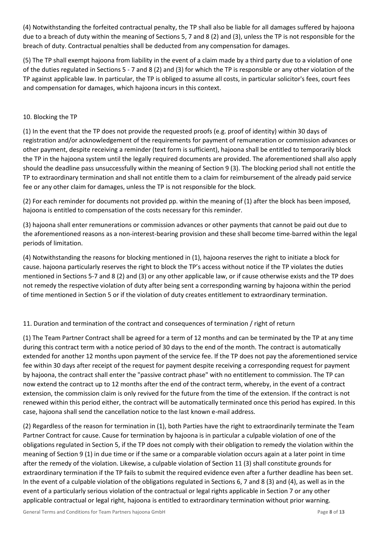(4) Notwithstanding the forfeited contractual penalty, the TP shall also be liable for all damages suffered by hajoona due to a breach of duty within the meaning of Sections 5, 7 and 8 (2) and (3), unless the TP is not responsible for the breach of duty. Contractual penalties shall be deducted from any compensation for damages.

(5) The TP shall exempt hajoona from liability in the event of a claim made by a third party due to a violation of one of the duties regulated in Sections 5 - 7 and 8 (2) and (3) for which the TP is responsible or any other violation of the TP against applicable law. In particular, the TP is obliged to assume all costs, in particular solicitor's fees, court fees and compensation for damages, which hajoona incurs in this context.

## 10. Blocking the TP

(1) In the event that the TP does not provide the requested proofs (e.g. proof of identity) within 30 days of registration and/or acknowledgement of the requirements for payment of remuneration or commission advances or other payment, despite receiving a reminder (text form is sufficient), hajoona shall be entitled to temporarily block the TP in the hajoona system until the legally required documents are provided. The aforementioned shall also apply should the deadline pass unsuccessfully within the meaning of Section 9 (3). The blocking period shall not entitle the TP to extraordinary termination and shall not entitle them to a claim for reimbursement of the already paid service fee or any other claim for damages, unless the TP is not responsible for the block.

(2) For each reminder for documents not provided pp. within the meaning of (1) after the block has been imposed, hajoona is entitled to compensation of the costs necessary for this reminder.

(3) hajoona shall enter remunerations or commission advances or other payments that cannot be paid out due to the aforementioned reasons as a non-interest-bearing provision and these shall become time-barred within the legal periods of limitation.

(4) Notwithstanding the reasons for blocking mentioned in (1), hajoona reserves the right to initiate a block for cause. hajoona particularly reserves the right to block the TP's access without notice if the TP violates the duties mentioned in Sections 5-7 and 8 (2) and (3) or any other applicable law, or if cause otherwise exists and the TP does not remedy the respective violation of duty after being sent a corresponding warning by hajoona within the period of time mentioned in Section 5 or if the violation of duty creates entitlement to extraordinary termination.

## 11. Duration and termination of the contract and consequences of termination / right of return

(1) The Team Partner Contract shall be agreed for a term of 12 months and can be terminated by the TP at any time during this contract term with a notice period of 30 days to the end of the month. The contract is automatically extended for another 12 months upon payment of the service fee. If the TP does not pay the aforementioned service fee within 30 days after receipt of the request for payment despite receiving a corresponding request for payment by hajoona, the contract shall enter the "passive contract phase" with no entitlement to commission. The TP can now extend the contract up to 12 months after the end of the contract term, whereby, in the event of a contract extension, the commission claim is only revived for the future from the time of the extension. If the contract is not renewed within this period either, the contract will be automatically terminated once this period has expired. In this case, hajoona shall send the cancellation notice to the last known e-mail address.

(2) Regardless of the reason for termination in (1), both Parties have the right to extraordinarily terminate the Team Partner Contract for cause. Cause for termination by hajoona is in particular a culpable violation of one of the obligations regulated in Section 5, if the TP does not comply with their obligation to remedy the violation within the meaning of Section 9 (1) in due time or if the same or a comparable violation occurs again at a later point in time after the remedy of the violation. Likewise, a culpable violation of Section 11 (3) shall constitute grounds for extraordinary termination if the TP fails to submit the required evidence even after a further deadline has been set. In the event of a culpable violation of the obligations regulated in Sections 6, 7 and 8 (3) and (4), as well as in the event of a particularly serious violation of the contractual or legal rights applicable in Section 7 or any other applicable contractual or legal right, hajoona is entitled to extraordinary termination without prior warning.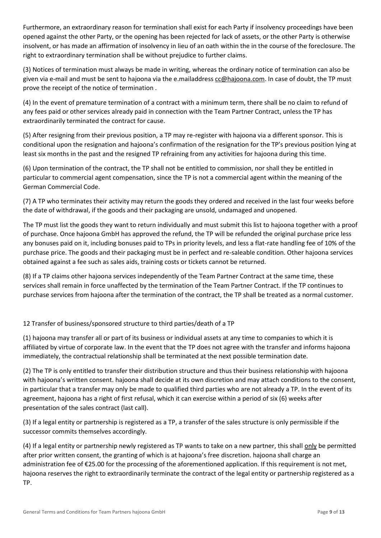Furthermore, an extraordinary reason for termination shall exist for each Party if insolvency proceedings have been opened against the other Party, or the opening has been rejected for lack of assets, or the other Party is otherwise insolvent, or has made an affirmation of insolvency in lieu of an oath within the in the course of the foreclosure. The right to extraordinary termination shall be without prejudice to further claims.

(3) Notices of termination must always be made in writing, whereas the ordinary notice of termination can also be given via e-mail and must be sent to hajoona via the e.mailaddress [cc@hajoona.com.](mailto:cc@hajoona.com) In case of doubt, the TP must prove the receipt of the notice of termination .

(4) In the event of premature termination of a contract with a minimum term, there shall be no claim to refund of any fees paid or other services already paid in connection with the Team Partner Contract, unless the TP has extraordinarily terminated the contract for cause.

(5) After resigning from their previous position, a TP may re-register with hajoona via a different sponsor. This is conditional upon the resignation and hajoona's confirmation of the resignation for the TP's previous position lying at least six months in the past and the resigned TP refraining from any activities for hajoona during this time.

(6) Upon termination of the contract, the TP shall not be entitled to commission, nor shall they be entitled in particular to commercial agent compensation, since the TP is not a commercial agent within the meaning of the German Commercial Code.

(7) A TP who terminates their activity may return the goods they ordered and received in the last four weeks before the date of withdrawal, if the goods and their packaging are unsold, undamaged and unopened.

The TP must list the goods they want to return individually and must submit this list to hajoona together with a proof of purchase. Once hajoona GmbH has approved the refund, the TP will be refunded the original purchase price less any bonuses paid on it, including bonuses paid to TPs in priority levels, and less a flat-rate handling fee of 10% of the purchase price. The goods and their packaging must be in perfect and re-saleable condition. Other hajoona services obtained against a fee such as sales aids, training costs or tickets cannot be returned.

(8) If a TP claims other hajoona services independently of the Team Partner Contract at the same time, these services shall remain in force unaffected by the termination of the Team Partner Contract. If the TP continues to purchase services from hajoona after the termination of the contract, the TP shall be treated as a normal customer.

## 12 Transfer of business/sponsored structure to third parties/death of a TP

(1) hajoona may transfer all or part of its business or individual assets at any time to companies to which it is affiliated by virtue of corporate law. In the event that the TP does not agree with the transfer and informs hajoona immediately, the contractual relationship shall be terminated at the next possible termination date.

(2) The TP is only entitled to transfer their distribution structure and thus their business relationship with hajoona with hajoona's written consent. hajoona shall decide at its own discretion and may attach conditions to the consent, in particular that a transfer may only be made to qualified third parties who are not already a TP. In the event of its agreement, hajoona has a right of first refusal, which it can exercise within a period of six (6) weeks after presentation of the sales contract (last call).

(3) If a legal entity or partnership is registered as a TP, a transfer of the sales structure is only permissible if the successor commits themselves accordingly.

(4) If a legal entity or partnership newly registered as TP wants to take on a new partner, this shall only be permitted after prior written consent, the granting of which is at hajoona's free discretion. hajoona shall charge an administration fee of €25.00 for the processing of the aforementioned application. If this requirement is not met, hajoona reserves the right to extraordinarily terminate the contract of the legal entity or partnership registered as a TP.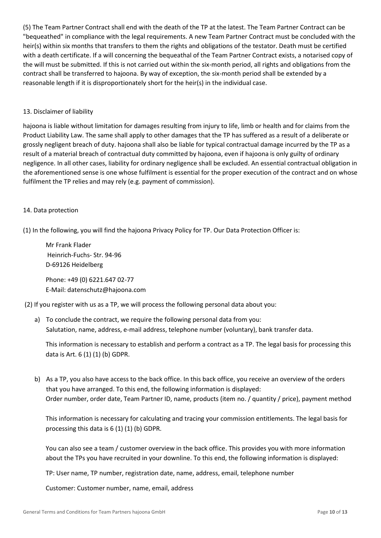(5) The Team Partner Contract shall end with the death of the TP at the latest. The Team Partner Contract can be "bequeathed" in compliance with the legal requirements. A new Team Partner Contract must be concluded with the heir(s) within six months that transfers to them the rights and obligations of the testator. Death must be certified with a death certificate. If a will concerning the bequeathal of the Team Partner Contract exists, a notarised copy of the will must be submitted. If this is not carried out within the six-month period, all rights and obligations from the contract shall be transferred to hajoona. By way of exception, the six-month period shall be extended by a reasonable length if it is disproportionately short for the heir(s) in the individual case.

#### 13. Disclaimer of liability

hajoona is liable without limitation for damages resulting from injury to life, limb or health and for claims from the Product Liability Law. The same shall apply to other damages that the TP has suffered as a result of a deliberate or grossly negligent breach of duty. hajoona shall also be liable for typical contractual damage incurred by the TP as a result of a material breach of contractual duty committed by hajoona, even if hajoona is only guilty of ordinary negligence. In all other cases, liability for ordinary negligence shall be excluded. An essential contractual obligation in the aforementioned sense is one whose fulfilment is essential for the proper execution of the contract and on whose fulfilment the TP relies and may rely (e.g. payment of commission).

#### 14. Data protection

(1) In the following, you will find the hajoona Privacy Policy for TP. Our Data Protection Officer is:

Mr Frank Flader Heinrich-Fuchs- Str. 94-96 D-69126 Heidelberg

Phone: +49 (0) 6221.647 02-77 E-Mail: datenschutz@hajoona.com

(2) If you register with us as a TP, we will process the following personal data about you:

a) To conclude the contract, we require the following personal data from you: Salutation, name, address, e-mail address, telephone number (voluntary), bank transfer data.

This information is necessary to establish and perform a contract as a TP. The legal basis for processing this data is Art. 6 (1) (1) (b) GDPR.

b) As a TP, you also have access to the back office. In this back office, you receive an overview of the orders that you have arranged. To this end, the following information is displayed: Order number, order date, Team Partner ID, name, products (item no. / quantity / price), payment method

This information is necessary for calculating and tracing your commission entitlements. The legal basis for processing this data is 6 (1) (1) (b) GDPR.

You can also see a team / customer overview in the back office. This provides you with more information about the TPs you have recruited in your downline. To this end, the following information is displayed:

TP: User name, TP number, registration date, name, address, email, telephone number

Customer: Customer number, name, email, address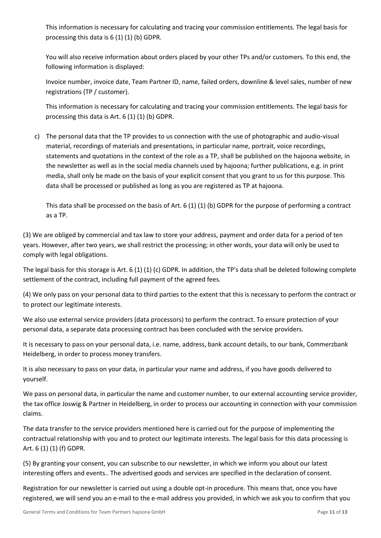This information is necessary for calculating and tracing your commission entitlements. The legal basis for processing this data is 6 (1) (1) (b) GDPR.

You will also receive information about orders placed by your other TPs and/or customers. To this end, the following information is displayed:

Invoice number, invoice date, Team Partner ID, name, failed orders, downline & level sales, number of new registrations (TP / customer).

This information is necessary for calculating and tracing your commission entitlements. The legal basis for processing this data is Art. 6 (1) (1) (b) GDPR.

c) The personal data that the TP provides to us connection with the use of photographic and audio-visual material, recordings of materials and presentations, in particular name, portrait, voice recordings, statements and quotations in the context of the role as a TP, shall be published on the hajoona website, in the newsletter as well as in the social media channels used by hajoona; further publications, e.g. in print media, shall only be made on the basis of your explicit consent that you grant to us for this purpose. This data shall be processed or published as long as you are registered as TP at hajoona.

This data shall be processed on the basis of Art. 6 (1) (1) (b) GDPR for the purpose of performing a contract as a TP.

(3) We are obliged by commercial and tax law to store your address, payment and order data for a period of ten years. However, after two years, we shall restrict the processing; in other words, your data will only be used to comply with legal obligations.

The legal basis for this storage is Art. 6 (1) (1) (c) GDPR. In addition, the TP's data shall be deleted following complete settlement of the contract, including full payment of the agreed fees.

(4) We only pass on your personal data to third parties to the extent that this is necessary to perform the contract or to protect our legitimate interests.

We also use external service providers (data processors) to perform the contract. To ensure protection of your personal data, a separate data processing contract has been concluded with the service providers.

It is necessary to pass on your personal data, i.e. name, address, bank account details, to our bank, Commerzbank Heidelberg, in order to process money transfers.

It is also necessary to pass on your data, in particular your name and address, if you have goods delivered to yourself.

We pass on personal data, in particular the name and customer number, to our external accounting service provider, the tax office Joswig & Partner in Heidelberg, in order to process our accounting in connection with your commission claims.

The data transfer to the service providers mentioned here is carried out for the purpose of implementing the contractual relationship with you and to protect our legitimate interests. The legal basis for this data processing is Art. 6 (1) (1) (f) GDPR.

(5) By granting your consent, you can subscribe to our newsletter, in which we inform you about our latest interesting offers and events.. The advertised goods and services are specified in the declaration of consent.

Registration for our newsletter is carried out using a double opt-in procedure. This means that, once you have registered, we will send you an e-mail to the e-mail address you provided, in which we ask you to confirm that you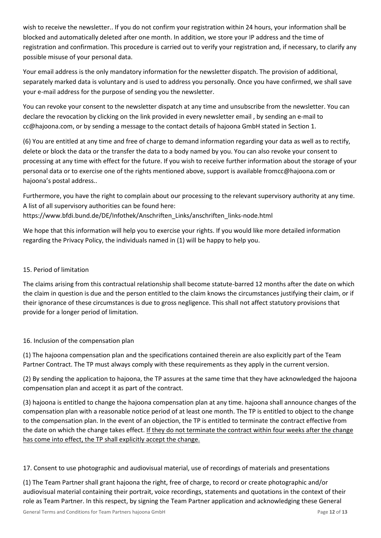wish to receive the newsletter.. If you do not confirm your registration within 24 hours, your information shall be blocked and automatically deleted after one month. In addition, we store your IP address and the time of registration and confirmation. This procedure is carried out to verify your registration and, if necessary, to clarify any possible misuse of your personal data.

Your email address is the only mandatory information for the newsletter dispatch. The provision of additional, separately marked data is voluntary and is used to address you personally. Once you have confirmed, we shall save your e-mail address for the purpose of sending you the newsletter.

You can revoke your consent to the newsletter dispatch at any time and unsubscribe from the newsletter. You can declare the revocation by clicking on the link provided in every newsletter email , by sending an e-mail to cc@hajoona.com, or by sending a message to the contact details of hajoona GmbH stated in Section 1.

(6) You are entitled at any time and free of charge to demand information regarding your data as well as to rectify, delete or block the data or the transfer the data to a body named by you. You can also revoke your consent to processing at any time with effect for the future. If you wish to receive further information about the storage of your personal data or to exercise one of the rights mentioned above, support is available fromcc@hajoona.com or hajoona's postal address..

Furthermore, you have the right to complain about our processing to the relevant supervisory authority at any time. A list of all supervisory authorities can be found here: https://www.bfdi.bund.de/DE/Infothek/Anschriften\_Links/anschriften\_links-node.html

We hope that this information will help you to exercise your rights. If you would like more detailed information regarding the Privacy Policy, the individuals named in (1) will be happy to help you.

# 15. Period of limitation

The claims arising from this contractual relationship shall become statute-barred 12 months after the date on which the claim in question is due and the person entitled to the claim knows the circumstances justifying their claim, or if their ignorance of these circumstances is due to gross negligence. This shall not affect statutory provisions that provide for a longer period of limitation.

## 16. Inclusion of the compensation plan

(1) The hajoona compensation plan and the specifications contained therein are also explicitly part of the Team Partner Contract. The TP must always comply with these requirements as they apply in the current version.

(2) By sending the application to hajoona, the TP assures at the same time that they have acknowledged the hajoona compensation plan and accept it as part of the contract.

(3) hajoona is entitled to change the hajoona compensation plan at any time. hajoona shall announce changes of the compensation plan with a reasonable notice period of at least one month. The TP is entitled to object to the change to the compensation plan. In the event of an objection, the TP is entitled to terminate the contract effective from the date on which the change takes effect. If they do not terminate the contract within four weeks after the change has come into effect, the TP shall explicitly accept the change.

17. Consent to use photographic and audiovisual material, use of recordings of materials and presentations

(1) The Team Partner shall grant hajoona the right, free of charge, to record or create photographic and/or audiovisual material containing their portrait, voice recordings, statements and quotations in the context of their role as Team Partner. In this respect, by signing the Team Partner application and acknowledging these General